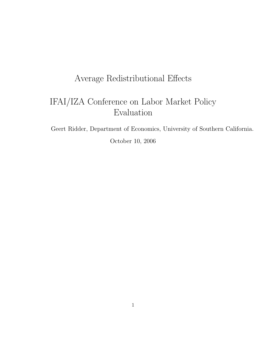## Average Redistributional Effects

# IFAI/IZA Conference on Labor Market Policy Evaluation

Geert Ridder, Department of Economics, University of Southern California.

October 10, 2006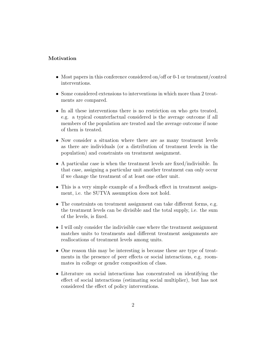#### Motivation

- Most papers in this conference considered on/off or 0-1 or treatment/control interventions.
- Some considered extensions to interventions in which more than 2 treatments are compared.
- In all these interventions there is no restriction on who gets treated, e.g. a typical counterfactual considered is the average outcome if all members of the population are treated and the average outcome if none of them is treated.
- Now consider a situation where there are as many treatment levels as there are individuals (or a distribution of treatment levels in the population) and constraints on treatment assignment.
- A particular case is when the treatment levels are fixed/indivisible. In that case, assigning a particular unit another treatment can only occur if we change the treatment of at least one other unit.
- This is a very simple example of a feedback effect in treatment assignment, i.e. the SUTVA assumption does not hold.
- The constraints on treatment assignment can take different forms, e.g. the treatment levels can be divisible and the total supply, i.e. the sum of the levels, is fixed.
- I will only consider the indivisible case where the treatment assignment matches units to treatments and different treatment assignments are reallocations of treatment levels among units.
- One reason this may be interesting is because these are type of treatments in the presence of peer effects or social interactions, e.g. roommates in college or gender composition of class.
- Literature on social interactions has concentrated on identifying the effect of social interactions (estimating social multiplier), but has not considered the effect of policy interventions.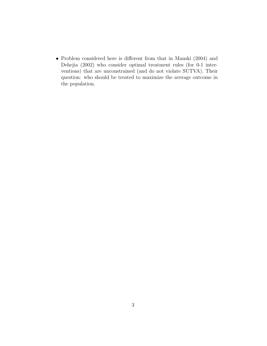• Problem considered here is different from that in Manski (2004) and Dehejia (2002) who consider optimal treatment rules (for 0-1 interventions) that are unconstrained (and do not violate SUTVA). Their question: who should be treated to maximize the average outcome in the population.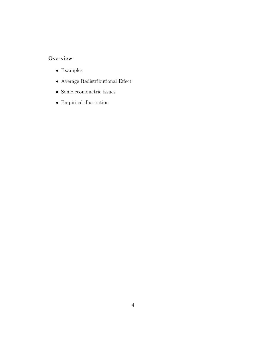## **Overview**

- $\bullet~$  Examples
- $\bullet\,$  Average Redistributional Effect
- Some econometric issues
- $\bullet~$  Empirical illustration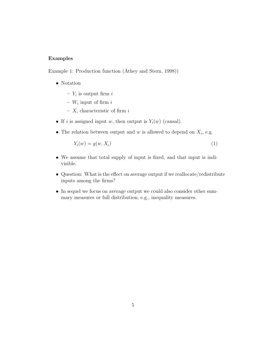#### Examples

Example 1: Production function (Athey and Stern, 1998))

- Notation
	- $Y_i$  is output firm i
	- $W_i$  input of firm i
	- $X_i$  characteristic of firm  $i$
- If i is assigned input w, then output is  $Y_i(w)$  (causal).
- The relation between output and  $w$  is allowed to depend on  $X_i$ , e.g.

$$
Y_i(w) = g(w, X_i)
$$
\n<sup>(1)</sup>

- We assume that total supply of input is fixed, and that input is indivisible.
- Question: What is the effect on average output if we reallocate/redistribute inputs among the firms?
- In sequel we focus on average output we could also consider other summary measures or full distribution, e.g., inequality measures.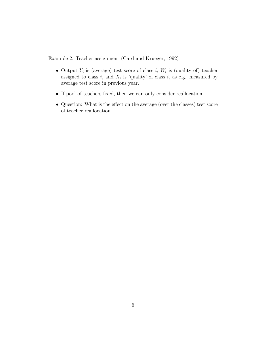Example 2: Teacher assignment (Card and Krueger, 1992)

- Output  $Y_i$  is (average) test score of class i,  $W_i$  is (quality of) teacher assigned to class i, and  $X_i$  is 'quality' of class i, as e.g. measured by average test score in previous year.
- If pool of teachers fixed, then we can only consider reallocation.
- Question: What is the effect on the average (over the classes) test score of teacher reallocation.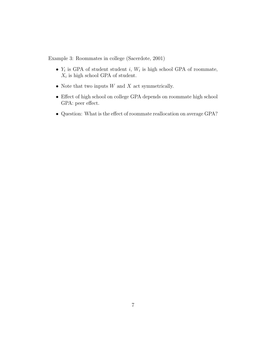Example 3: Roommates in college (Sacerdote, 2001)

- $Y_i$  is GPA of student student i,  $W_i$  is high school GPA of roommate,  $X_i$  is high school GPA of student.
- Note that two inputs  $W$  and  $X$  act symmetrically.
- Effect of high school on college GPA depends on roommate high school GPA: peer effect.
- Question: What is the effect of roommate reallocation on average GPA?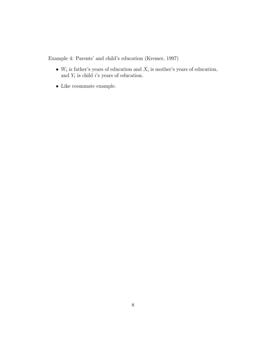Example 4: Parents' and child's education (Kremer, 1997)

- $W_i$  is father's years of education and  $X_i$  is mother's years of education, and  $Y_i$  is child i's years of education.
- Like roommate example.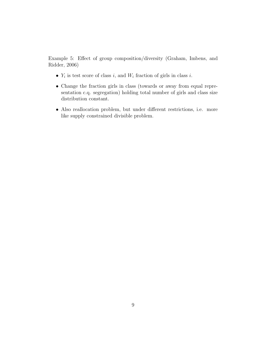Example 5: Effect of group composition/diversity (Graham, Imbens, and Ridder, 2006)

- $Y_i$  is test score of class i, and  $W_i$  fraction of girls in class i.
- Change the fraction girls in class (towards or away from equal representation c.q. segregation) holding total number of girls and class size distribution constant.
- Also reallocation problem, but under different restrictions, i.e. more like supply constrained divisible problem.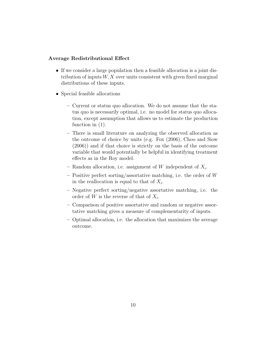#### Average Redistributional Effect

- If we consider a large population then a feasible allocation is a joint distribution of inputs  $W, X$  over units consistent with given fixed marginal distributions of these inputs.
- Special feasible allocations
	- Current or status quo allocation. We do not assume that the status quo is necessarily optimal, i.e. no model for status quo allocation, except assumption that allows us to estimate the production function in (1).
	- There is small literature on analyzing the observed allocation as the outcome of choice by units (e.g. Fox (2006), Choo and Siow (2006)) and if that choice is strictly on the basis of the outcome variable that would potentially be helpful in identifying treatment effects as in the Roy model.
	- Random allocation, i.e. assignment of W independent of  $X_i$ .
	- Positive perfect sorting/assortative matching, i.e. the order of  $W$ in the reallocation is equal to that of  $X_i$ .
	- Negative perfect sorting/negative assortative matching, i.e. the order of W is the reverse of that of  $X_i$ .
	- Comparison of positive assortative and random or negative assortative matching gives a measure of complementarity of inputs.
	- Optimal allocation, i.e. the allocation that maximizes the average outcome.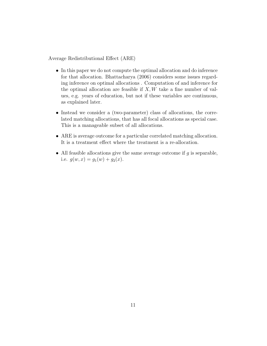Average Redistributional Effect (ARE)

- In this paper we do not compute the optimal allocation and do inference for that allocation. Bhattacharya (2006) considers some issues regarding inference on optimal allocations . Computation of and inference for the optimal allocation are feasible if  $X, W$  take a fine number of values, e.g. years of education, but not if these variables are continuous, as explained later.
- Instead we consider a (two-parameter) class of allocations, the correlated matching allocations, that has all focal allocations as special case. This is a manageable subset of all allocations.
- ARE is average outcome for a particular correlated matching allocation. It is a treatment effect where the treatment is a re-allocation.
- All feasible allocations give the same average outcome if  $g$  is separable, i.e.  $g(w, x) = g_1(w) + g_2(x)$ .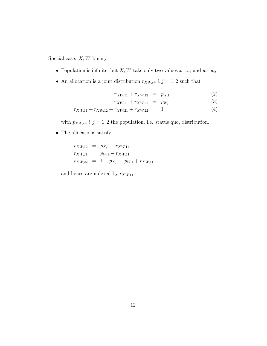Special case:  $X, W$  binary.

- Population is infinite, but  $X, W$  take only two values  $x_1, x_2$  and  $w_1, w_2$ .
- An allocation is a joint distribution  $r_{XW,ij}$ ,  $i, j = 1, 2$  such that

$$
r_{XW,11} + r_{XW,12} = p_{X,1} \tag{2}
$$

$$
r_{XW,11} + r_{XW,21} = p_{W,1} \tag{3}
$$

$$
r_{XW,11} + r_{XW,12} + r_{XW,21} + r_{XW,22} = 1 \tag{4}
$$

with  $p_{XW,ij}$ ,  $i, j = 1, 2$  the population, i.e. status quo, distribution.

• The allocations satisfy

 $r_{XW,12}$  =  $p_{X,1} - r_{XW,11}$  $r_{XW,21}$  =  $p_{W,1} - r_{XW,11}$  $r_{XW,22}$  = 1 -  $p_{X,1}$  -  $p_{W,1}$  +  $r_{XW,11}$ 

and hence are indexed by  $r_{XW,11}$ .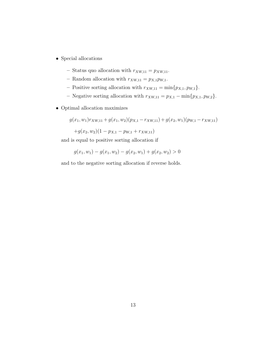- $\bullet\,$  Special allocations
	- Status quo allocation with  $r_{XW,11} = p_{XW,11}$ .
	- Random allocation with  $r_{XW,11} = p_{X,1}p_{W,1}.$
	- Positive sorting allocation with  $r_{XW,11} = \min\{p_{X,1}, p_{W,1}\}.$
	- Negative sorting allocation with  $r_{XW,11} = p_{X,1} \min\{p_{X,1}, p_{W,2}\}.$
- Optimal allocation maximizes

$$
g(x_1, w_1)r_{XW,11} + g(x_1, w_2)(p_{X,1} - r_{XW,11}) + g(x_2, w_1)(p_{W,1} - r_{XW,11})
$$
  
+ $g(x_2, w_2)(1 - p_{X,1} - p_{W,1} + r_{XW,11})$ 

and is equal to positive sorting allocation if

$$
g(x_1, w_1) - g(x_1, w_2) - g(x_2, w_1) + g(x_2, w_2) > 0
$$

and to the negative sorting allocation if reverse holds.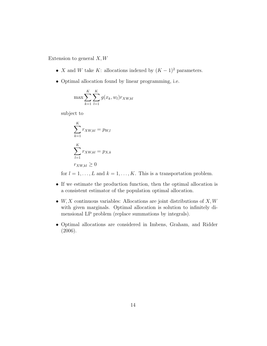Extension to general  $X, W$ 

- X and W take K: allocations indexed by  $(K-1)^2$  parameters.
- Optimal allocation found by linear programming, i.e.

$$
\max \sum_{k=1}^{K} \sum_{l=1}^{K} g(x_k, w_l) r_{XW,kl}
$$

subject to

$$
\sum_{k=1}^{K} r_{XW,kl} = p_{W,l}
$$

$$
\sum_{l=1}^{K} r_{XW,kl} = p_{X,k}
$$

$$
r_{XW,kl} \ge 0
$$

for  $l = 1, ..., L$  and  $k = 1, ..., K$ . This is a transportation problem.

- If we estimate the production function, then the optimal allocation is a consistent estimator of the population optimal allocation.
- $W, X$  continuous variables: Allocations are joint distributions of  $X, W$ with given marginals. Optimal allocation is solution to infinitely dimensional LP problem (replace summations by integrals).
- Optimal allocations are considered in Imbens, Graham, and Ridder (2006).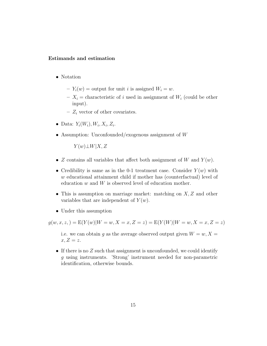#### Estimands and estimation

- Notation
	- $-Y_i(w) =$  output for unit *i* is assigned  $W_i = w$ .
	- $X_i$  = characteristic of i used in assignment of  $W_i$  (could be other input).
	- $Z_i$  vector of other covariates.
- Data:  $Y_i(W_i), W_i, X_i, Z_i$ .
- Assumption: Unconfounded/exogenous assignment of  $W$

 $Y(w) \perp W|X, Z$ 

- Z contains all variables that affect both assignment of W and  $Y(w)$ .
- Credibility is same as in the 0-1 treatment case. Consider  $Y(w)$  with w educational attainment child if mother has (counterfactual) level of education w and W is observed level of education mother.
- This is assumption on marriage market: matching on  $X, Z$  and other variables that are independent of  $Y(w)$ .
- Under this assumption

 $g(w, x, z) = E(Y(w)|W = w, X = x, Z = z) = E(Y(W)|W = w, X = x, Z = z)$ 

i.e. we can obtain g as the average observed output given  $W = w, X =$  $x, Z = z$ .

• If there is no  $Z$  such that assignment is unconfounded, we could identify g using instruments. 'Strong' instrument needed for non-parametric identification, otherwise bounds.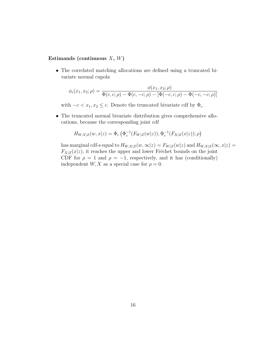#### Estimands (continuous  $X, W$ )

• The correlated matching allocations are defined using a truncated bivariate normal cupola

$$
\phi_c(x_1, x_2; \rho) = \frac{\phi(x_1, x_2; \rho)}{\Phi(c, c; \rho) - \Phi(c, -c; \rho) - [\Phi(-c, c; \rho) - \Phi(-c, -c; \rho)]}
$$

with  $-c < x_1, x_2 \leq c$ . Denote the truncated bivariate cdf by  $\Phi_c$ .

• The truncated normal bivariate distribution gives comprehensive allocations, because the corresponding joint cdf

$$
H_{W,X|Z}(w,x|z) = \Phi_c\left(\Phi_c^{-1}(F_{W|Z}(w|z)), \Phi_c^{-1}(F_{X|Z}(x|z)); \rho\right)
$$

has marginal cdf-s equal to  $H_{W,X|Z}(w,\infty|z) = F_{W|Z}(w|z)$  and  $H_{W,X|Z}(\infty,x|z) =$  $F_{X|Z}(x|z)$ , it reaches the upper and lower Fréchet bounds on the joint CDF for  $\rho = 1$  and  $\rho = -1$ , respectively, and it has (conditionally) independent  $W, X$  as a special case for  $\rho = 0$ .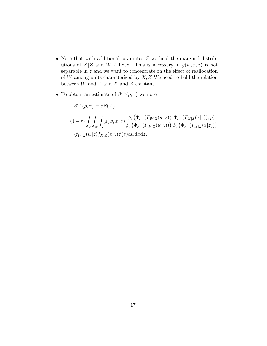- Note that with additional covariates Z we hold the marginal distributions of  $X|Z$  and  $W|Z$  fixed. This is necessary, if  $g(w, x, z)$  is not separable in  $z$  and we want to concentrate on the effect of reallocation of  $W$  among units characterized by  $X, Z$  We need to hold the relation between  $W$  and  $Z$  and  $X$  and  $Z$  constant.
- To obtain an estimate of  $\beta^{cm}(\rho, \tau)$  we note

$$
\beta^{cm}(\rho,\tau) = \tau E(Y) +
$$
  
\n
$$
(1-\tau) \int_x \int_w \int_z g(w,x,z) \frac{\phi_c(\Phi_c^{-1}(F_{W|Z}(w|z)), \Phi_c^{-1}(F_{X|Z}(x|z)); \rho)}{\phi_c(\Phi_c^{-1}(F_{W|Z}(w|z))) \phi_c(\Phi_c^{-1}(F_{X|Z}(x|z)))}
$$
  
\n
$$
\cdot f_{W|Z}(w|z) f_{X|Z}(x|z) f(z) \text{d}w \text{d}x \text{d}z.
$$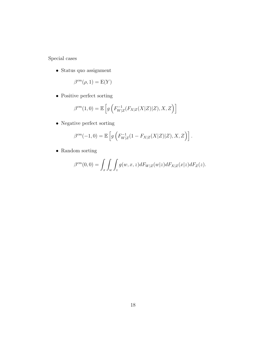Special cases

 $\bullet\,$  Status quo assignment

$$
\beta^{cm}(\rho, 1) = \mathcal{E}(Y)
$$

• Positive perfect sorting

$$
\beta^{cm}(1,0) = \mathbb{E}\left[g\left(F_{W|Z}^{-1}(F_{X|Z}(X|Z)|Z), X, Z\right)\right]
$$

• Negative perfect sorting

$$
\beta^{cm}(-1,0) = \mathbb{E}\left[g\left(F_{W|Z}^{-1}(1 - F_{X|Z}(X|Z)|Z), X, Z\right)\right].
$$

• Random sorting

$$
\beta^{cm}(0,0) = \int_x \int_w \int_z g(w,x,z)dF_{W|Z}(w|z)dF_{X|Z}(x|z)dF_Z(z).
$$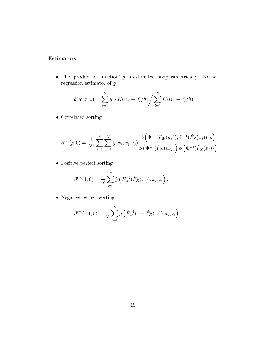### Estimators

• The 'production function'  $g$  is estimated nonparametrically. Kernel regression estimator of  $\boldsymbol{g}$ 

$$
\hat{g}(w, x, z) = \sum_{i=1}^{N} y_i \cdot K((v_i - v)/h) / \sum_{i=1}^{N} K((v_i - v)/h).
$$

• Correlated sorting

$$
\hat{\beta}^{cm}(\rho,0) = \frac{1}{N^2} \sum_{i=1}^{N} \sum_{j=1}^{N} \hat{g}(w_i, x_j, z_j) \frac{\phi(\Phi^{-1}(\hat{F}_W(w_i)), \Phi^{-1}(\hat{F}_X(x_j)); \rho)}{\phi(\Phi^{-1}(\hat{F}_W(w_i))) \phi(\Phi^{-1}(\hat{F}_X(x_j)))}
$$

• Positive perfect sorting

$$
\hat{\beta}^{cm}(1,0) = \frac{1}{N} \sum_{i=1}^{N} \hat{g} \left( \hat{F}_{W}^{-1}(\hat{F}_{X}(x_{i})), x_{i}, z_{i} \right).
$$

• Negative perfect sorting

$$
\hat{\beta}^{cm}(-1,0) = \frac{1}{N} \sum_{i=1}^{N} \hat{g} \left( \hat{F}_{W}^{-1}(1-\hat{F}_{X}(x_{i})), x_{i}, z_{i} \right).
$$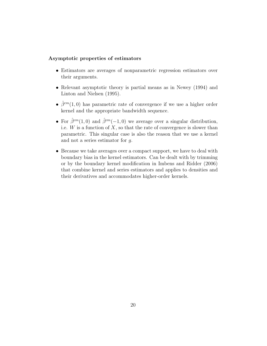#### Asymptotic properties of estimators

- Estimators are averages of nonparametric regression estimators over their arguments.
- Relevant asymptotic theory is partial means as in Newey (1994) and Linton and Nielsen (1995).
- $\hat{\beta}^{cm}(1,0)$  has parametric rate of convergence if we use a higher order kernel and the appropriate bandwidth sequence.
- For  $\hat{\beta}^{cm}(1,0)$  and  $\hat{\beta}^{cm}(-1,0)$  we average over a singular distribution, i.e.  $W$  is a function of  $X$ , so that the rate of convergence is slower than parametric. This singular case is also the reason that we use a kernel and not a series estimator for g.
- Because we take averages over a compact support, we have to deal with boundary bias in the kernel estimators. Can be dealt with by trimming or by the boundary kernel modification in Imbens and Ridder (2006) that combine kernel and series estimators and applies to densities and their derivatives and accommodates higher-order kernels.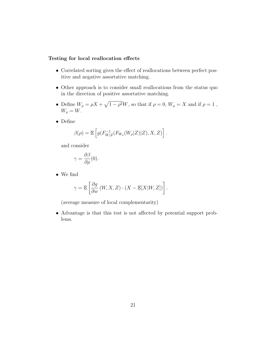#### Testing for local reallocation effects

- Correlated sorting gives the effect of reallocations between perfect positive and negative assortative matching.
- Other approach is to consider small reallocations from the status quo in the direction of positive assortative matching.
- Define  $W_{\rho} = \rho X + \sqrt{1 \rho^2} W$ , so that if  $\rho = 0$ ,  $W_{\rho} = X$  and if  $\rho = 1$ ,  $W_{\rho} = W.$
- Define

$$
\beta(\rho) = \mathbb{E}\left[g(F_{W|Z}^{-1}(F_{W_{\rho}}(W_{\rho}|Z)|Z), X, Z)\right].
$$

and consider

$$
\gamma = \frac{\partial \beta}{\partial \rho}(0).
$$

• We find

$$
\gamma = \mathbb{E}\left[\frac{\partial g}{\partial w}(W, X, Z) \cdot (X - \mathbb{E}[X|W, Z])\right].
$$

(average measure of local complementarity)

• Advantage is that this test is not affected by potential support problems.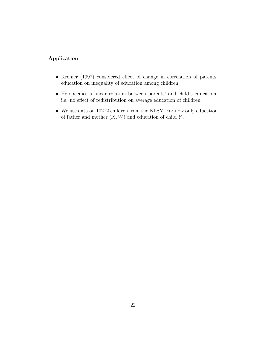### Application

- Kremer (1997) considered effect of change in correlation of parents' education on inequality of education among children,
- He specifies a linear relation between parents' and child's education, i.e. no effect of redistribution on average education of children.
- We use data on 10272 children from the NLSY. For now only education of father and mother  $(X, W)$  and education of child Y.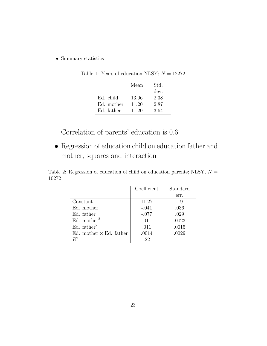• Summary statistics

|            | Mean  | Std. |
|------------|-------|------|
|            |       | dev. |
| Ed. child  | 13.06 | 2.38 |
| Ed. mother | 11.20 | 2.87 |
| Ed. father | 11.20 | 3.64 |

Table 1: Years of education NLSY;  ${\cal N}=12272$ 

Correlation of parents' education is 0.6.

• Regression of education child on education father and mother, squares and interaction

Table 2: Regression of education of child on education parents; NLSY,  $N =$ 10272

|                                | Coefficient | Standard |
|--------------------------------|-------------|----------|
|                                |             | err.     |
| Constant                       | 11.27       | .19      |
| Ed. mother                     | $-.041$     | .036     |
| Ed. father                     | $-.077$     | .029     |
| Ed. mother <sup>2</sup>        | .011        | .0023    |
| Ed. $father2$                  | .011        | .0015    |
| Ed. mother $\times$ Ed. father | .0014       | .0029    |
| $R^2$                          | .22         |          |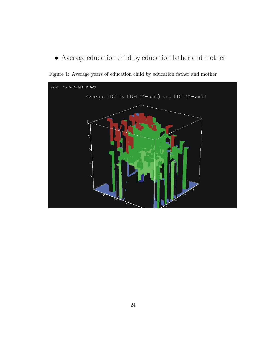$\bullet$  Average education child by education father and mother



Figure 1: Average years of education child by education father and mother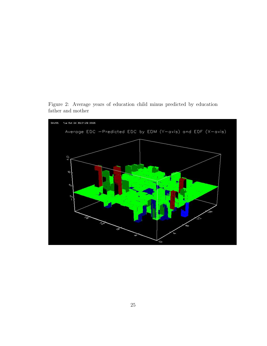

Figure 2: Average years of education child minus predicted by education father and mother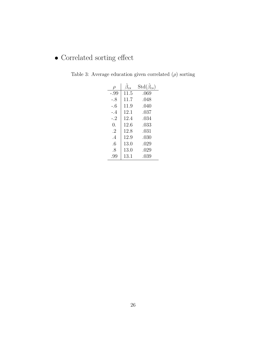## $\bullet$  Correlated sorting effect

| ρ         | $\beta_{cs}$ | $\mathrm{Std}(\hat{\beta}_{cs})$ |
|-----------|--------------|----------------------------------|
| $-.99$    | 11.5         | .069                             |
| $-.8$     | 11.7         | .048                             |
| $-.6$     | 11.9         | .040                             |
| -.4       | 12.1         | .037                             |
| $-.2$     | 12.4         | .034                             |
| 0.        | 12.6         | .033                             |
| $\cdot^2$ | 12.8         | .031                             |
| $\cdot$ 4 | 12.9         | .030                             |
| .6        | 13.0         | .029                             |
| .8        | 13.0         | .029                             |
| .99       | 13.1         | .039                             |

Table 3: Average education given correlated  $(\rho)$  sorting